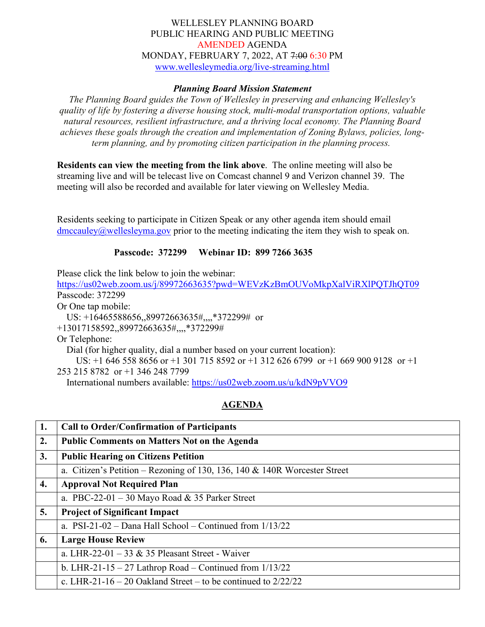## WELLESLEY PLANNING BOARD PUBLIC HEARING AND PUBLIC MEETING AMENDED AGENDA MONDAY, FEBRUARY 7, 2022, AT 7:00 6:30 PM [www.wellesleymedia.org/live-streaming.html](http://www.wellesleymedia.org/live-streaming.html)

## *Planning Board Mission Statement*

*The Planning Board guides the Town of Wellesley in preserving and enhancing Wellesley's quality of life by fostering a diverse housing stock, multi-modal transportation options, valuable natural resources, resilient infrastructure, and a thriving local economy. The Planning Board achieves these goals through the creation and implementation of Zoning Bylaws, policies, longterm planning, and by promoting citizen participation in the planning process.*

**Residents can view the meeting from the link above**. The online meeting will also be streaming live and will be telecast live on Comcast channel 9 and Verizon channel 39. The meeting will also be recorded and available for later viewing on Wellesley Media.

Residents seeking to participate in Citizen Speak or any other agenda item should email  $d$ mccauley@wellesleyma.gov prior to the meeting indicating the item they wish to speak on.

## **Passcode: 372299 Webinar ID: 899 7266 3635**

Please click the link below to join the webinar:

<https://us02web.zoom.us/j/89972663635?pwd=WEVzKzBmOUVoMkpXalViRXlPQTJhQT09>

Passcode: 372299

Or One tap mobile:

US: +16465588656,,89972663635#,,,,\*372299# or

+13017158592,,89972663635#,,,,\*372299#

Or Telephone:

Dial (for higher quality, dial a number based on your current location):

 US: +1 646 558 8656 or +1 301 715 8592 or +1 312 626 6799 or +1 669 900 9128 or +1 253 215 8782 or +1 346 248 7799

International numbers available:<https://us02web.zoom.us/u/kdN9pVVO9>

## **AGENDA**

| 1. | <b>Call to Order/Confirmation of Participants</b>                           |  |  |
|----|-----------------------------------------------------------------------------|--|--|
| 2. | <b>Public Comments on Matters Not on the Agenda</b>                         |  |  |
| 3. | <b>Public Hearing on Citizens Petition</b>                                  |  |  |
|    | a. Citizen's Petition – Rezoning of 130, 136, 140 $&$ 140R Worcester Street |  |  |
| 4. | <b>Approval Not Required Plan</b>                                           |  |  |
|    | a. PBC-22-01 - 30 Mayo Road & 35 Parker Street                              |  |  |
| 5. | <b>Project of Significant Impact</b>                                        |  |  |
|    | a. PSI-21-02 – Dana Hall School – Continued from $1/13/22$                  |  |  |
| 6. | <b>Large House Review</b>                                                   |  |  |
|    | a. LHR-22-01 – 33 & 35 Pleasant Street - Waiver                             |  |  |
|    | b. LHR-21-15 – 27 Lathrop Road – Continued from $1/13/22$                   |  |  |
|    | c. LHR-21-16 – 20 Oakland Street – to be continued to $2/22/22$             |  |  |